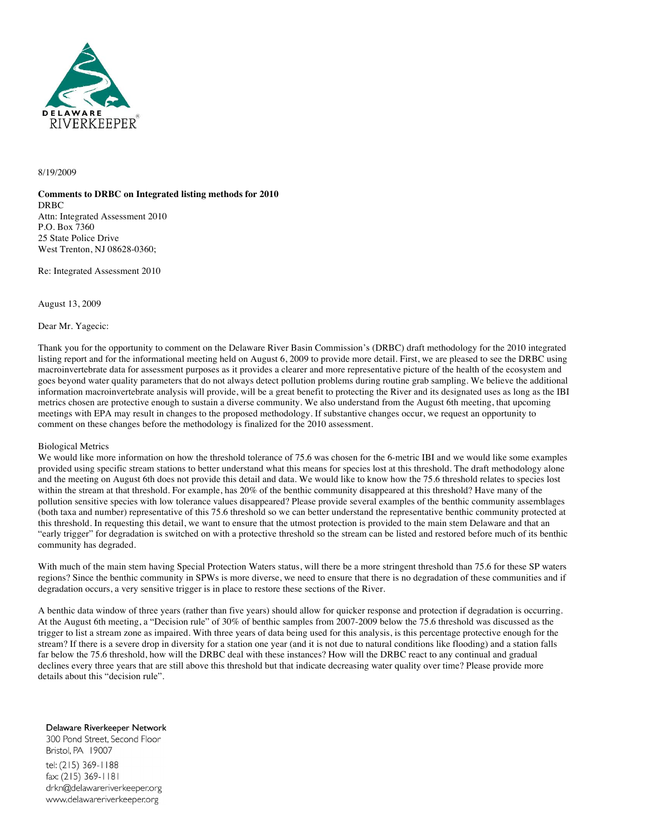

# 8/19/2009

**Comments to DRBC on Integrated listing methods for 2010** DRBC Attn: Integrated Assessment 2010 P.O. Box 7360 25 State Police Drive West Trenton, NJ 08628-0360;

Re: Integrated Assessment 2010

August 13, 2009

Dear Mr. Yagecic:

Thank you for the opportunity to comment on the Delaware River Basin Commission's (DRBC) draft methodology for the 2010 integrated listing report and for the informational meeting held on August 6, 2009 to provide more detail. First, we are pleased to see the DRBC using macroinvertebrate data for assessment purposes as it provides a clearer and more representative picture of the health of the ecosystem and goes beyond water quality parameters that do not always detect pollution problems during routine grab sampling. We believe the additional information macroinvertebrate analysis will provide, will be a great benefit to protecting the River and its designated uses as long as the IBI metrics chosen are protective enough to sustain a diverse community. We also understand from the August 6th meeting, that upcoming meetings with EPA may result in changes to the proposed methodology. If substantive changes occur, we request an opportunity to comment on these changes before the methodology is finalized for the 2010 assessment.

## Biological Metrics

We would like more information on how the threshold tolerance of 75.6 was chosen for the 6-metric IBI and we would like some examples provided using specific stream stations to better understand what this means for species lost at this threshold. The draft methodology alone and the meeting on August 6th does not provide this detail and data. We would like to know how the 75.6 threshold relates to species lost within the stream at that threshold. For example, has 20% of the benthic community disappeared at this threshold? Have many of the pollution sensitive species with low tolerance values disappeared? Please provide several examples of the benthic community assemblages (both taxa and number) representative of this 75.6 threshold so we can better understand the representative benthic community protected at this threshold. In requesting this detail, we want to ensure that the utmost protection is provided to the main stem Delaware and that an "early trigger" for degradation is switched on with a protective threshold so the stream can be listed and restored before much of its benthic community has degraded.

With much of the main stem having Special Protection Waters status, will there be a more stringent threshold than 75.6 for these SP waters regions? Since the benthic community in SPWs is more diverse, we need to ensure that there is no degradation of these communities and if degradation occurs, a very sensitive trigger is in place to restore these sections of the River.

A benthic data window of three years (rather than five years) should allow for quicker response and protection if degradation is occurring. At the August 6th meeting, a "Decision rule" of 30% of benthic samples from 2007-2009 below the 75.6 threshold was discussed as the trigger to list a stream zone as impaired. With three years of data being used for this analysis, is this percentage protective enough for the stream? If there is a severe drop in diversity for a station one year (and it is not due to natural conditions like flooding) and a station falls far below the 75.6 threshold, how will the DRBC deal with these instances? How will the DRBC react to any continual and gradual declines every three years that are still above this threshold but that indicate decreasing water quality over time? Please provide more details about this "decision rule".

Delaware Riverkeeper Network

300 Pond Street, Second Floor Bristol, PA 19007 tel: (215) 369-1188 fax: (215) 369-1181 drkn@delawareriverkeeper.org www.delawareriverkeeper.org